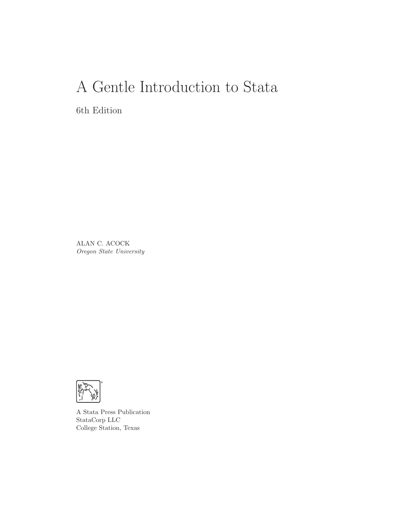# A Gentle Introduction to Stata

6th Edition

ALAN C. ACOCK Oregon State University



A Stata Press Publication StataCorp LLC College Station, Texas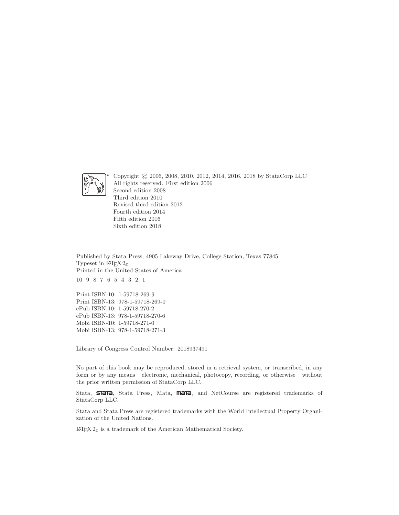

Copyright © 2006, 2008, 2010, 2012, 2014, 2016, 2018 by StataCorp LLC All rights reserved. First edition 2006 Second edition 2008 Third edition 2010 Revised third edition 2012 Fourth edition 2014 Fifth edition 2016 Sixth edition 2018

Published by Stata Press, 4905 Lakeway Drive, College Station, Texas 77845 Typeset in LAT<sub>E</sub>X  $2\varepsilon$ Printed in the United States of America 10 9 8 7 6 5 4 3 2 1

Print ISBN-10: 1-59718-269-9 Print ISBN-13: 978-1-59718-269-0 ePub ISBN-10: 1-59718-270-2 ePub ISBN-13: 978-1-59718-270-6 Mobi ISBN-10: 1-59718-271-0 Mobi ISBN-13: 978-1-59718-271-3

Library of Congress Control Number: 2018937491

No part of this book may be reproduced, stored in a retrieval system, or transcribed, in any form or by any means—electronic, mechanical, photocopy, recording, or otherwise—without the prior written permission of StataCorp LLC.

Stata, **STATA**, Stata Press, Mata, **mata**, and NetCourse are registered trademarks of StataCorp LLC.

Stata and Stata Press are registered trademarks with the World Intellectual Property Organization of the United Nations.

 $\mathbb{F}\to \mathbb{F}$ 2 $\varepsilon$  is a trademark of the American Mathematical Society.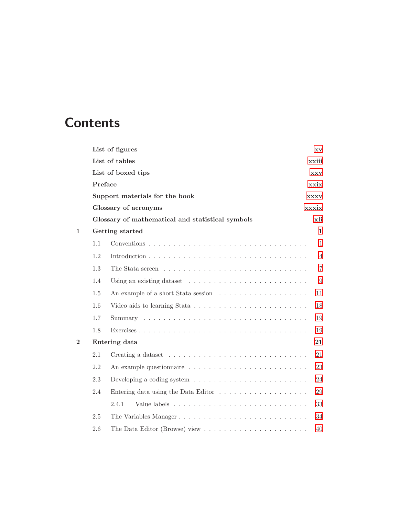# **Contents**

|                         |         | List of figures                                                                            | $\mathbf{X}\mathbf{V}$ |
|-------------------------|---------|--------------------------------------------------------------------------------------------|------------------------|
|                         |         | List of tables                                                                             | xxiii                  |
|                         |         | List of boxed tips                                                                         | <b>XXV</b>             |
|                         | Preface |                                                                                            | xxix                   |
|                         |         | Support materials for the book                                                             | <b>XXXV</b>            |
|                         |         | Glossary of acronyms                                                                       | xxxix                  |
|                         |         | Glossary of mathematical and statistical symbols                                           | xli                    |
| 1                       |         | Getting started                                                                            | $\mathbf{1}$           |
|                         | 1.1     |                                                                                            | $\mathbf{1}$           |
|                         | 1.2     |                                                                                            | 4                      |
|                         | 1.3     | The Stata screen $\dots \dots \dots \dots \dots \dots \dots \dots \dots \dots \dots \dots$ | $\overline{7}$         |
|                         | 1.4     | Using an existing dataset $\dots \dots \dots \dots \dots \dots \dots \dots$                | 9                      |
|                         | 1.5     |                                                                                            | 11                     |
|                         | 1.6     |                                                                                            | 18                     |
|                         | 1.7     |                                                                                            | 19                     |
|                         | 1.8     |                                                                                            | 19                     |
| $\overline{\mathbf{2}}$ |         | Entering data                                                                              | 21                     |
|                         | 2.1     |                                                                                            | 21                     |
|                         | 2.2     |                                                                                            | 23                     |
|                         | 2.3     | Developing a coding system $\ldots \ldots \ldots \ldots \ldots \ldots \ldots \ldots$       | 24                     |
|                         | 2.4     | Entering data using the Data Editor $\dots \dots \dots \dots \dots \dots$                  | 29                     |
|                         |         | 2.4.1                                                                                      | 33                     |
|                         | 2.5     | The Variables Manager                                                                      | 34                     |
|                         | 2.6     | The Data Editor (Browse) view $\dots \dots \dots \dots \dots \dots \dots \dots$            | 40                     |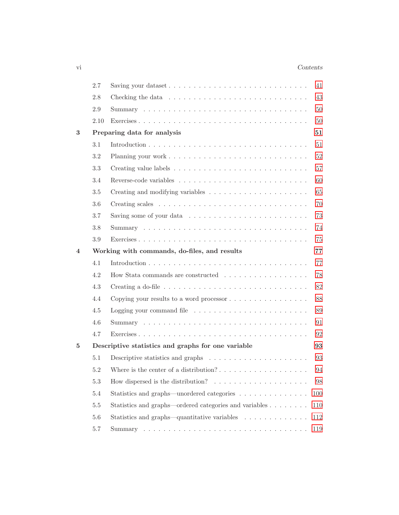# vi Contents

|   | 2.7     |                                                                                    | 41     |
|---|---------|------------------------------------------------------------------------------------|--------|
|   | 2.8     | Checking the data $\ldots \ldots \ldots \ldots \ldots \ldots \ldots \ldots \ldots$ | 43     |
|   | 2.9     |                                                                                    | $50\,$ |
|   | 2.10    |                                                                                    | $50\,$ |
| 3 |         | Preparing data for analysis                                                        | 51     |
|   | 3.1     |                                                                                    | 51     |
|   | 3.2     | Planning your work                                                                 | $52\,$ |
|   | 3.3     |                                                                                    | 57     |
|   | 3.4     |                                                                                    | 60     |
|   | $3.5\,$ |                                                                                    | 65     |
|   | 3.6     |                                                                                    | 70     |
|   | 3.7     |                                                                                    | 73     |
|   | 3.8     |                                                                                    | 74     |
|   | 3.9     |                                                                                    | 75     |
| 4 |         | Working with commands, do-files, and results                                       | 77     |
|   | 4.1     |                                                                                    | 77     |
|   | 4.2     |                                                                                    | 78     |
|   | 4.3     |                                                                                    | 82     |
|   | 4.4     | Copying your results to a word processor $\dots \dots \dots \dots \dots$           | 88     |
|   | 4.5     | Logging your command file $\dots \dots \dots \dots \dots \dots \dots \dots$        | 89     |
|   | 4.6     |                                                                                    | 91     |
|   | 4.7     |                                                                                    | 92     |
| 5 |         | Descriptive statistics and graphs for one variable                                 | 93     |
|   | 5.1     | Descriptive statistics and graphs $\ldots \ldots \ldots \ldots \ldots \ldots$      | 93     |
|   | 5.2     |                                                                                    | 94     |
|   | 5.3     | How dispersed is the distribution? $\ldots \ldots \ldots \ldots \ldots$            | 98     |
|   | 5.4     | Statistics and graphs—unordered categories                                         | 100    |
|   | $5.5\,$ | Statistics and graphs—ordered categories and variables                             | 110    |
|   | $5.6\,$ | Statistics and graphs—quantitative variables                                       | 112    |
|   | $5.7\,$ |                                                                                    | 119    |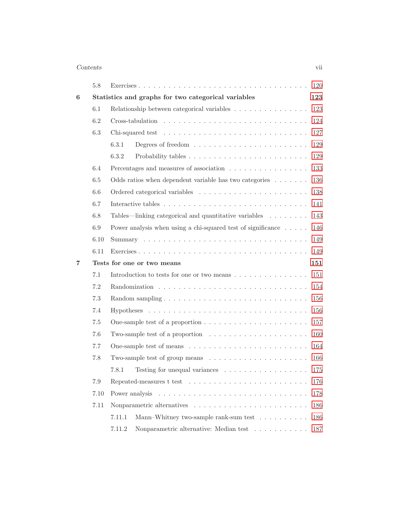### Contents vii

|   | 5.8     |                                                                                               | 120 |
|---|---------|-----------------------------------------------------------------------------------------------|-----|
| 6 |         | Statistics and graphs for two categorical variables                                           | 123 |
|   | 6.1     | Relationship between categorical variables $\hfill\ldots\ldots\ldots\ldots\ldots\ldots\ldots$ | 123 |
|   | 6.2     |                                                                                               | 124 |
|   | 6.3     |                                                                                               | 127 |
|   |         | 6.3.1                                                                                         | 129 |
|   |         | 6.3.2                                                                                         | 129 |
|   | 6.4     | Percentages and measures of association                                                       | 133 |
|   | 6.5     | Odds ratios when dependent variable has two categories $\ldots \ldots$                        | 136 |
|   | 6.6     |                                                                                               | 138 |
|   | 6.7     |                                                                                               | 141 |
|   | 6.8     | Tables—linking categorical and quantitative variables $\dots \dots$                           | 143 |
|   | 6.9     | Power analysis when using a chi-squared test of significance $\dots$ .                        | 146 |
|   | 6.10    |                                                                                               | 149 |
|   | 6.11    |                                                                                               | 149 |
|   |         |                                                                                               |     |
| 7 |         | Tests for one or two means                                                                    | 151 |
|   | 7.1     | Introduction to tests for one or two means $\dots \dots \dots \dots \dots$                    | 151 |
|   | 7.2     |                                                                                               | 154 |
|   | 7.3     |                                                                                               | 156 |
|   | 7.4     |                                                                                               | 156 |
|   | $7.5\,$ | One-sample test of a proportion $\dots \dots \dots \dots \dots \dots \dots \dots$             | 157 |
|   | 7.6     | Two-sample test of a proportion $\ldots \ldots \ldots \ldots \ldots \ldots$                   | 160 |
|   | 7.7     |                                                                                               | 164 |
|   | 7.8     | Two-sample test of group means $\dots \dots \dots \dots \dots \dots \dots$                    | 166 |
|   |         | Testing for unequal variances $\ldots \ldots \ldots \ldots \ldots$<br>7.8.1                   | 175 |
|   | 7.9     |                                                                                               | 176 |
|   | 7.10    |                                                                                               | 178 |
|   | 7.11    |                                                                                               | 186 |
|   |         | 7.11.1<br>Mann-Whitney two-sample rank-sum test                                               | 186 |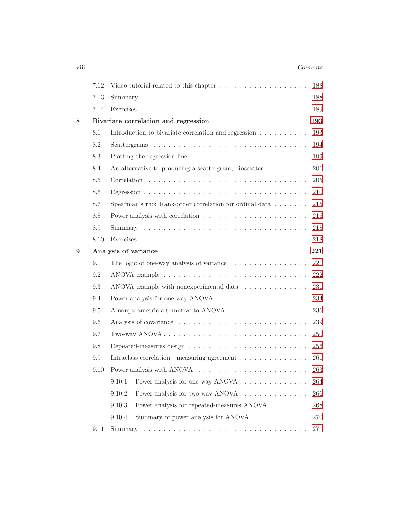### viii Contents

|   | 7.12    | Video tutorial related to this chapter $\dots \dots \dots \dots \dots \dots$        | 188 |
|---|---------|-------------------------------------------------------------------------------------|-----|
|   | 7.13    |                                                                                     | 188 |
|   | 7.14    |                                                                                     | 189 |
| 8 |         | Bivariate correlation and regression                                                | 193 |
|   | 8.1     | Introduction to bivariate correlation and regression                                | 193 |
|   | 8.2     |                                                                                     | 194 |
|   | 8.3     |                                                                                     | 199 |
|   | 8.4     | An alternative to producing a scattergram, binscatter $\dots \dots$                 | 201 |
|   | 8.5     |                                                                                     | 205 |
|   | 8.6     |                                                                                     | 210 |
|   | 8.7     | Spearman's rho: Rank-order correlation for ordinal data $\ldots \ldots$             | 215 |
|   | 8.8     |                                                                                     | 216 |
|   | 8.9     |                                                                                     | 218 |
|   | 8.10    |                                                                                     | 218 |
| 9 |         | Analysis of variance                                                                | 221 |
|   | 9.1     | The logic of one-way analysis of variance                                           | 221 |
|   | 9.2     |                                                                                     | 222 |
|   | 9.3     | ANOVA example with nonexperimental data $\ldots \ldots \ldots \ldots$               | 231 |
|   | 9.4     |                                                                                     | 234 |
|   | $9.5\,$ | A nonparametric alternative to ANOVA                                                | 236 |
|   | 9.6     |                                                                                     | 239 |
|   | 9.7     |                                                                                     | 250 |
|   | 9.8     |                                                                                     | 256 |
|   | 9.9     | Intraclass correlation—measuring agreement                                          | 261 |
|   | 9.10    | Power analysis with ANOVA $\ldots \ldots \ldots \ldots \ldots \ldots \ldots \ldots$ | 263 |
|   |         | 9.10.1<br>Power analysis for one-way ANOVA                                          | 264 |
|   |         | 9.10.2<br>Power analysis for two-way ANOVA                                          | 266 |
|   |         | 9.10.3<br>Power analysis for repeated-measures ANOVA                                | 268 |
|   |         | 9.10.4<br>Summary of power analysis for ANOVA                                       | 270 |
|   | 9.11    |                                                                                     | 271 |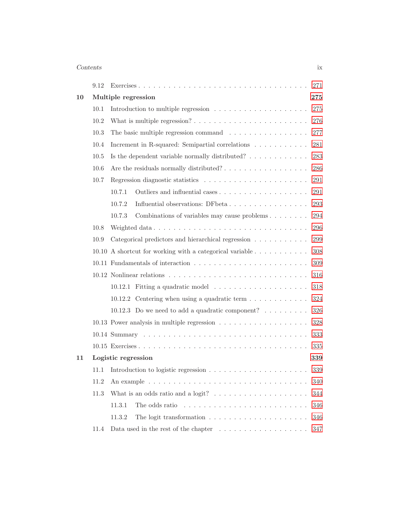| Contents | 1X |
|----------|----|
|----------|----|

|    | 9.12 |                                                                                        | 271 |
|----|------|----------------------------------------------------------------------------------------|-----|
| 10 |      | Multiple regression<br>275                                                             |     |
|    | 10.1 |                                                                                        | 275 |
|    | 10.2 | What is multiple regression? $\ldots \ldots \ldots \ldots \ldots \ldots \ldots \ldots$ | 276 |
|    | 10.3 | The basic multiple regression command $\ldots \ldots \ldots \ldots \ldots$             | 277 |
|    | 10.4 | Increment in R-squared: Semipartial correlations                                       | 281 |
|    | 10.5 | Is the dependent variable normally distributed? $\ldots \ldots \ldots \ldots$          | 283 |
|    | 10.6 | Are the residuals normally distributed?                                                | 286 |
|    | 10.7 |                                                                                        | 291 |
|    |      | 10.7.1                                                                                 | 291 |
|    |      | 10.7.2                                                                                 | 293 |
|    |      | 10.7.3<br>Combinations of variables may cause problems                                 | 294 |
|    | 10.8 | Weighted data                                                                          | 296 |
|    | 10.9 | Categorical predictors and hierarchical regression                                     | 299 |
|    |      | 10.10 A shortcut for working with a categorical variable $\ldots \ldots \ldots$        | 308 |
|    |      |                                                                                        | 309 |
|    |      |                                                                                        | 316 |
|    |      |                                                                                        | 318 |
|    |      | 10.12.2 Centering when using a quadratic term $\ldots \ldots \ldots \ldots$            | 324 |
|    |      | 10.12.3 Do we need to add a quadratic component? $\ldots \ldots \ldots$                | 326 |
|    |      |                                                                                        | 328 |
|    |      |                                                                                        | 333 |
|    |      |                                                                                        | 335 |
| 11 |      | Logistic regression                                                                    | 339 |
|    |      | 11.1 Introduction to logistic regression $\ldots$ .                                    | 339 |
|    | 11.2 |                                                                                        | 340 |
|    | 11.3 | What is an odds ratio and a logit? $\ldots \ldots \ldots \ldots \ldots \ldots$         | 344 |
|    |      | 11.3.1                                                                                 | 346 |
|    |      | 11.3.2                                                                                 | 346 |
|    | 11.4 | Data used in the rest of the chapter $\dots \dots \dots \dots \dots \dots$             | 347 |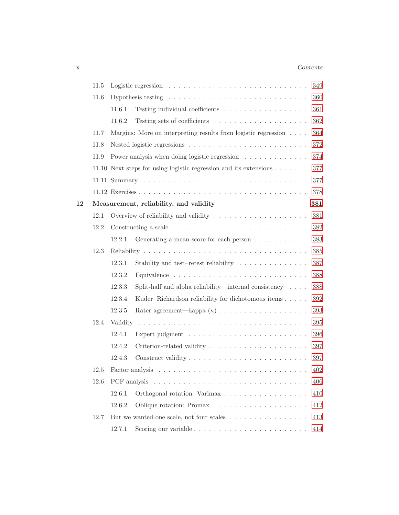# x Contents

|    | 11.5 |          |                                                                                 | 349     |
|----|------|----------|---------------------------------------------------------------------------------|---------|
|    | 11.6 |          |                                                                                 | 360     |
|    |      | 11.6.1   | Testing individual coefficients                                                 | 361     |
|    |      | 11.6.2   |                                                                                 | 362     |
|    | 11.7 |          | Margins: More on interpreting results from logistic regression                  | 364     |
|    | 11.8 |          |                                                                                 | 372     |
|    | 11.9 |          | Power analysis when doing logistic regression $\ldots \ldots \ldots \ldots$     | 374     |
|    |      |          | 11.10 Next steps for using logistic regression and its extensions $\dots \dots$ | 377     |
|    |      |          |                                                                                 | 377     |
|    |      |          |                                                                                 | 378     |
| 12 |      |          | Measurement, reliability, and validity                                          | 381     |
|    | 12.1 |          |                                                                                 | 381     |
|    | 12.2 |          |                                                                                 | 382     |
|    |      | 12.2.1   | Generating a mean score for each person                                         | 383     |
|    | 12.3 |          |                                                                                 | 385     |
|    |      | 12.3.1   | Stability and test-retest reliability $\dots \dots \dots \dots$                 | $387\,$ |
|    |      | 12.3.2   |                                                                                 | 388     |
|    |      | 12.3.3   | Split-half and alpha reliability—internal consistency $\ldots$ .                | 388     |
|    |      | 12.3.4   | Kuder–Richardson reliability for dichotomous items                              | 392     |
|    |      | 12.3.5   |                                                                                 | 393     |
|    | 12.4 | Validity |                                                                                 | 395     |
|    |      | 12.4.1   |                                                                                 | 396     |
|    |      | 12.4.2   |                                                                                 | 397     |
|    |      | 12.4.3   |                                                                                 | 397     |
|    | 12.5 |          |                                                                                 | 402     |
|    | 12.6 |          |                                                                                 | 406     |
|    |      | 12.6.1   | Orthogonal rotation: Varimax                                                    | 410     |
|    |      | 12.6.2   |                                                                                 | 412     |
|    | 12.7 |          | But we wanted one scale, not four scales                                        | 413     |
|    |      | 12.7.1   |                                                                                 | 414     |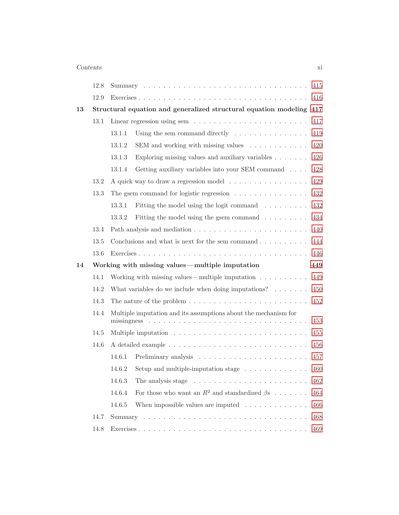### Contents xi

|    | 12.8 | 415                                                                                                                                                            |
|----|------|----------------------------------------------------------------------------------------------------------------------------------------------------------------|
|    | 12.9 | 416                                                                                                                                                            |
| 13 |      | Structural equation and generalized structural equation modeling 417                                                                                           |
|    | 13.1 | Linear regression using sem $\dots \dots \dots \dots \dots \dots \dots$<br>417                                                                                 |
|    |      | 419<br>13.1.1<br>Using the sem command directly $\dots \dots \dots \dots \dots$                                                                                |
|    |      | 420<br>SEM and working with missing values $\dots \dots \dots$<br>13.1.2                                                                                       |
|    |      | Exploring missing values and auxiliary variables $\ldots \ldots$<br>426<br>13.1.3                                                                              |
|    |      | Getting auxiliary variables into your SEM command $\ldots$ .<br>428<br>13.1.4                                                                                  |
|    | 13.2 | 429<br>A quick way to draw a regression model                                                                                                                  |
|    | 13.3 | 432<br>The gsem command for logistic regression $\ldots \ldots \ldots \ldots \ldots$                                                                           |
|    |      | Fitting the model using the logit command $\ldots \ldots \ldots$<br>432<br>13.3.1                                                                              |
|    |      | 434<br>Fitting the model using the gsem command $\ldots \ldots \ldots$<br>13.3.2                                                                               |
|    | 13.4 | 440                                                                                                                                                            |
|    | 13.5 | 444                                                                                                                                                            |
|    | 13.6 | 446                                                                                                                                                            |
| 14 |      | 449<br>Working with missing values—multiple imputation                                                                                                         |
|    | 14.1 | 449<br>Working with missing values—multiple imputation $\ldots \ldots \ldots$                                                                                  |
|    | 14.2 | What variables do we include when doing imputations? $\ldots \ldots$<br>450                                                                                    |
|    | 14.3 | The nature of the problem $\dots \dots \dots \dots \dots \dots \dots \dots \dots$<br>452                                                                       |
|    | 14.4 | Multiple imputation and its assumptions about the mechanism for<br>453<br>missingness<br>a de la caractería de la caractería de la caractería de la caractería |
|    | 14.5 | 455                                                                                                                                                            |
|    | 14.6 | 456                                                                                                                                                            |
|    |      | 14.6.1<br>457                                                                                                                                                  |
|    |      | 14.6.2 Setup and multiple-imputation stage $\dots \dots \dots \dots$<br>460                                                                                    |
|    |      | The analysis stage $\dots \dots \dots \dots \dots \dots \dots \dots$<br>462<br>14.6.3                                                                          |
|    |      | For those who want an $R^2$ and standardized $\beta$ s<br>464<br>14.6.4                                                                                        |
|    |      | When impossible values are imputed $\ldots \ldots \ldots \ldots$<br>14.6.5<br>466                                                                              |
|    | 14.7 | 468                                                                                                                                                            |
|    | 14.8 | 469                                                                                                                                                            |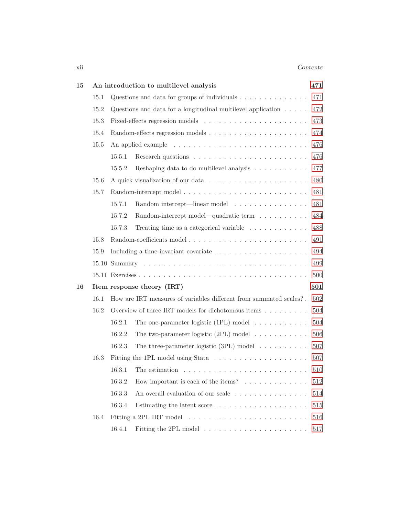# xii Contents

| 15 |      |                                                                               | An introduction to multilevel analysis                                                                                                                                                                                                                                                                                                                                                                                                                                                 | 471 |  |
|----|------|-------------------------------------------------------------------------------|----------------------------------------------------------------------------------------------------------------------------------------------------------------------------------------------------------------------------------------------------------------------------------------------------------------------------------------------------------------------------------------------------------------------------------------------------------------------------------------|-----|--|
|    | 15.1 | Questions and data for groups of individuals $\dots \dots \dots \dots$<br>471 |                                                                                                                                                                                                                                                                                                                                                                                                                                                                                        |     |  |
|    | 15.2 | Questions and data for a longitudinal multilevel application $\ldots \ldots$  |                                                                                                                                                                                                                                                                                                                                                                                                                                                                                        |     |  |
|    | 15.3 |                                                                               |                                                                                                                                                                                                                                                                                                                                                                                                                                                                                        | 473 |  |
|    | 15.4 |                                                                               |                                                                                                                                                                                                                                                                                                                                                                                                                                                                                        | 474 |  |
|    | 15.5 |                                                                               |                                                                                                                                                                                                                                                                                                                                                                                                                                                                                        | 476 |  |
|    |      | 15.5.1                                                                        |                                                                                                                                                                                                                                                                                                                                                                                                                                                                                        | 476 |  |
|    |      | 15.5.2                                                                        | Reshaping data to do multilevel analysis                                                                                                                                                                                                                                                                                                                                                                                                                                               | 477 |  |
|    | 15.6 |                                                                               |                                                                                                                                                                                                                                                                                                                                                                                                                                                                                        | 480 |  |
|    | 15.7 |                                                                               |                                                                                                                                                                                                                                                                                                                                                                                                                                                                                        | 481 |  |
|    |      | 15.7.1                                                                        | Random intercept—linear model                                                                                                                                                                                                                                                                                                                                                                                                                                                          | 481 |  |
|    |      | 15.7.2                                                                        | Random-intercept model—quadratic term                                                                                                                                                                                                                                                                                                                                                                                                                                                  | 484 |  |
|    |      | 15.7.3                                                                        | Treating time as a categorical variable $\ldots \ldots \ldots \ldots$                                                                                                                                                                                                                                                                                                                                                                                                                  | 488 |  |
|    | 15.8 |                                                                               |                                                                                                                                                                                                                                                                                                                                                                                                                                                                                        | 491 |  |
|    | 15.9 |                                                                               |                                                                                                                                                                                                                                                                                                                                                                                                                                                                                        | 494 |  |
|    |      |                                                                               |                                                                                                                                                                                                                                                                                                                                                                                                                                                                                        | 499 |  |
|    |      |                                                                               |                                                                                                                                                                                                                                                                                                                                                                                                                                                                                        | 500 |  |
| 16 |      |                                                                               | Item response theory (IRT)                                                                                                                                                                                                                                                                                                                                                                                                                                                             | 501 |  |
|    | 16.1 |                                                                               | How are IRT measures of variables different from summated scales?.                                                                                                                                                                                                                                                                                                                                                                                                                     | 502 |  |
|    | 16.2 |                                                                               | Overview of three IRT models for dichotomous items $.\,.\,.\,.\,.\,.\,.\,.\,.\,.\,.\,$                                                                                                                                                                                                                                                                                                                                                                                                 | 504 |  |
|    |      | 16.2.1                                                                        | The one-parameter logistic (1PL) model $\ldots \ldots \ldots$                                                                                                                                                                                                                                                                                                                                                                                                                          | 504 |  |
|    |      | 16.2.2                                                                        | The two-parameter logistic $(2PL)$ model                                                                                                                                                                                                                                                                                                                                                                                                                                               | 506 |  |
|    |      | 16.2.3                                                                        | The three-parameter logistic $(3PL)$ model                                                                                                                                                                                                                                                                                                                                                                                                                                             | 507 |  |
|    | 16.3 |                                                                               |                                                                                                                                                                                                                                                                                                                                                                                                                                                                                        | 507 |  |
|    |      | 16.3.1                                                                        | The estimation $\ldots \ldots \ldots \ldots \ldots \ldots \ldots \ldots$                                                                                                                                                                                                                                                                                                                                                                                                               | 510 |  |
|    |      | 16.3.2                                                                        | How important is each of the items? $\ldots$                                                                                                                                                                                                                                                                                                                                                                                                                                           | 512 |  |
|    |      | 16.3.3                                                                        | An overall evaluation of our scale                                                                                                                                                                                                                                                                                                                                                                                                                                                     | 514 |  |
|    |      | 16.3.4                                                                        |                                                                                                                                                                                                                                                                                                                                                                                                                                                                                        | 515 |  |
|    | 16.4 |                                                                               | Fitting a 2PL IRT model<br>$\mathcal{L}^{(1)}\left(\mathcal{L}^{(1)}\left(\mathcal{L}^{(1)}\left(\mathcal{L}^{(1)}\left(\mathcal{L}^{(1)}\left(\mathcal{L}^{(1)}\left(\mathcal{L}^{(1)}\left(\mathcal{L}^{(1)}\left(\mathcal{L}^{(1)}\left(\mathcal{L}^{(1)}\right)\mathcal{L}^{(1)}\right)\right)\right)\right)\right)\right)\right)\right)\leq\mathcal{L}^{(1)}\left(\mathcal{L}^{(1)}\left(\mathcal{L}^{(1)}\left(\mathcal{L}^{(1)}\left(\mathcal{L}^{(1)}\left(\mathcal{L}^{(1)}\$ | 516 |  |
|    |      | 16.4.1                                                                        |                                                                                                                                                                                                                                                                                                                                                                                                                                                                                        | 517 |  |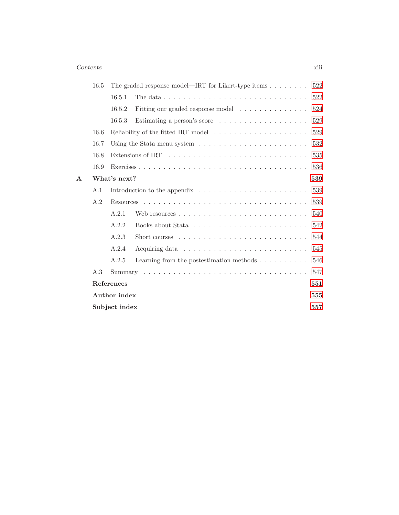## Contents xiii

|   | 16.5 | The graded response model—IRT for Likert-type items $\ldots \ldots$<br>522                        |
|---|------|---------------------------------------------------------------------------------------------------|
|   |      | The data $\ldots \ldots \ldots \ldots \ldots \ldots \ldots \ldots \ldots \ldots$<br>522<br>16.5.1 |
|   |      | 16.5.2<br>524<br>Fitting our graded response model                                                |
|   |      | 529<br>16.5.3<br>Estimating a person's score $\dots \dots \dots \dots \dots \dots$                |
|   | 16.6 | 529                                                                                               |
|   | 16.7 | 532<br>Using the Stata menu system $\dots \dots \dots \dots \dots \dots \dots \dots$              |
|   | 16.8 | 535                                                                                               |
|   | 16.9 | 536                                                                                               |
| A |      | What's next?<br>539                                                                               |
|   | A.1  | Introduction to the appendix $\ldots \ldots \ldots \ldots \ldots \ldots \ldots$<br>539            |
|   | A.2  | 539                                                                                               |
|   |      | A.2.1<br>540                                                                                      |
|   |      | A.2.2<br>542                                                                                      |
|   |      | A.2.3<br>544                                                                                      |
|   |      | A.2.4<br>545                                                                                      |
|   |      | A.2.5<br>Learning from the postestimation methods $\ldots \ldots \ldots$<br>546                   |
|   | A.3  | 547                                                                                               |
|   |      | References<br>551                                                                                 |
|   |      | Author index<br>555                                                                               |
|   |      | Subject index<br>557                                                                              |
|   |      |                                                                                                   |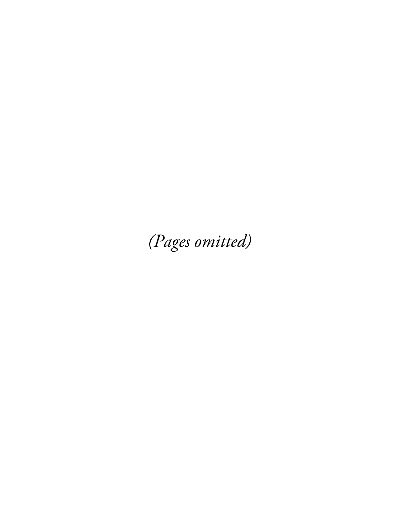(Pages omitted)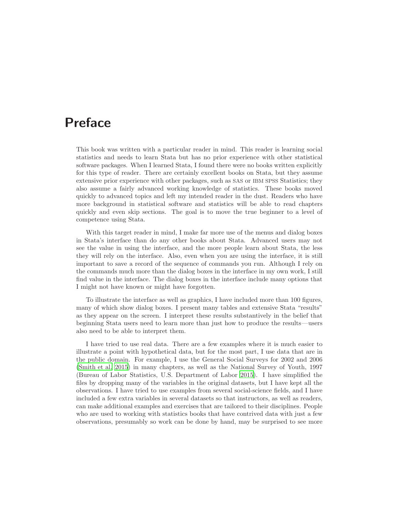# Preface

This book was written with a particular reader in mind. This reader is learning social statistics and needs to learn Stata but has no prior experience with other statistical software packages. When I learned Stata, I found there were no books written explicitly for this type of reader. There are certainly excellent books on Stata, but they assume extensive prior experience with other packages, such as SAS or IBM SPSS Statistics; they also assume a fairly advanced working knowledge of statistics. These books moved quickly to advanced topics and left my intended reader in the dust. Readers who have more background in statistical software and statistics will be able to read chapters quickly and even skip sections. The goal is to move the true beginner to a level of competence using Stata.

With this target reader in mind, I make far more use of the menus and dialog boxes in Stata's interface than do any other books about Stata. Advanced users may not see the value in using the interface, and the more people learn about Stata, the less they will rely on the interface. Also, even when you are using the interface, it is still important to save a record of the sequence of commands you run. Although I rely on the commands much more than the dialog boxes in the interface in my own work, I still find value in the interface. The dialog boxes in the interface include many options that I might not have known or might have forgotten.

To illustrate the interface as well as graphics, I have included more than 100 figures, many of which show dialog boxes. I present many tables and extensive Stata "results" as they appear on the screen. I interpret these results substantively in the belief that beginning Stata users need to learn more than just how to produce the results—users also need to be able to interpret them.

I have tried to use real data. There are a few examples where it is much easier to illustrate a point with hypothetical data, but for the most part, I use data that are in the public domain. For example, I use the General Social Surveys for 2002 and 2006 (Smith et al. 2015) in many chapters, as well as the National Survey of Youth, 1997 (Bureau of Labor Statistics, U.S. Department of Labor 2015). I have simplified the files by dropping many of the variables in the original datasets, but I have kept all the observations. I have tried to use examples from several social-science fields, and I have included a few extra variables in several datasets so that instructors, as well as readers, can make additional examples and exercises that are tailored to their disciplines. People who are used to working with statistics books that have contrived data with just a few observations, presumably so work can be done by hand, may be surprised to see more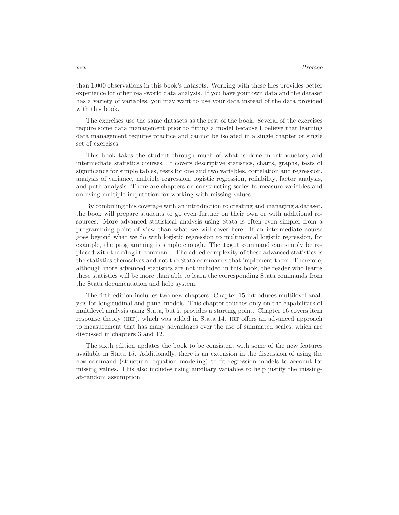than 1,000 observations in this book's datasets. Working with these files provides better experience for other real-world data analysis. If you have your own data and the dataset has a variety of variables, you may want to use your data instead of the data provided with this book.

The exercises use the same datasets as the rest of the book. Several of the exercises require some data management prior to fitting a model because I believe that learning data management requires practice and cannot be isolated in a single chapter or single set of exercises.

This book takes the student through much of what is done in introductory and intermediate statistics courses. It covers descriptive statistics, charts, graphs, tests of significance for simple tables, tests for one and two variables, correlation and regression, analysis of variance, multiple regression, logistic regression, reliability, factor analysis, and path analysis. There are chapters on constructing scales to measure variables and on using multiple imputation for working with missing values.

By combining this coverage with an introduction to creating and managing a dataset, the book will prepare students to go even further on their own or with additional resources. More advanced statistical analysis using Stata is often even simpler from a programming point of view than what we will cover here. If an intermediate course goes beyond what we do with logistic regression to multinomial logistic regression, for example, the programming is simple enough. The logit command can simply be replaced with the mlogit command. The added complexity of these advanced statistics is the statistics themselves and not the Stata commands that implement them. Therefore, although more advanced statistics are not included in this book, the reader who learns these statistics will be more than able to learn the corresponding Stata commands from the Stata documentation and help system.

The fifth edition includes two new chapters. Chapter 15 introduces multilevel analysis for longitudinal and panel models. This chapter touches only on the capabilities of multilevel analysis using Stata, but it provides a starting point. Chapter 16 covers item response theory (IRT), which was added in Stata 14. IRT offers an advanced approach to measurement that has many advantages over the use of summated scales, which are discussed in chapters 3 and 12.

The sixth edition updates the book to be consistent with some of the new features available in Stata 15. Additionally, there is an extension in the discussion of using the sem command (structural equation modeling) to fit regression models to account for missing values. This also includes using auxiliary variables to help justify the missingat-random assumption.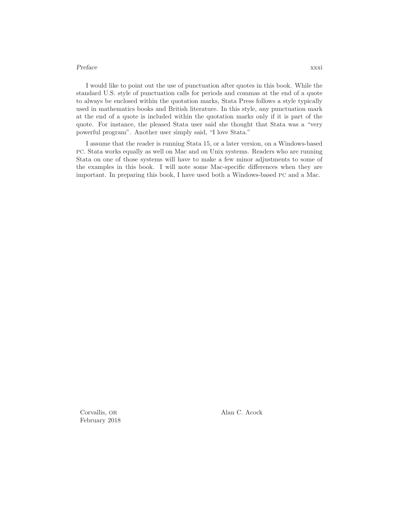#### Preface xxxi

I would like to point out the use of punctuation after quotes in this book. While the standard U.S. style of punctuation calls for periods and commas at the end of a quote to always be enclosed within the quotation marks, Stata Press follows a style typically used in mathematics books and British literature. In this style, any punctuation mark at the end of a quote is included within the quotation marks only if it is part of the quote. For instance, the pleased Stata user said she thought that Stata was a "very powerful program". Another user simply said, "I love Stata."

I assume that the reader is running Stata 15, or a later version, on a Windows-based PC. Stata works equally as well on Mac and on Unix systems. Readers who are running Stata on one of those systems will have to make a few minor adjustments to some of the examples in this book. I will note some Mac-specific differences when they are important. In preparing this book, I have used both a Windows-based PC and a Mac.

February 2018

Corvallis, OR Alan C. Acock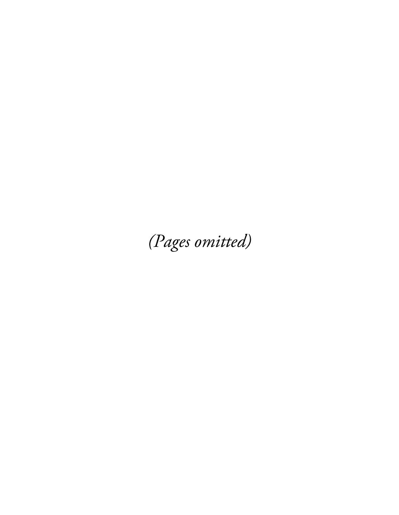(Pages omitted)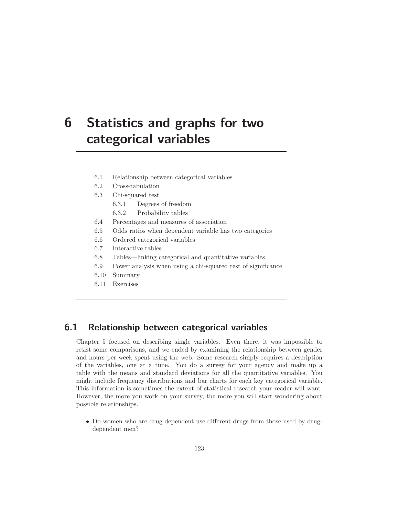# 6 Statistics and graphs for two categorical variables

- 6.1 Relationship between categorical variables
- 6.2 Cross-tabulation
- 6.3 Chi-squared test
	- 6.3.1 Degrees of freedom
	- 6.3.2 Probability tables
- 6.4 Percentages and measures of association
- 6.5 Odds ratios when dependent variable has two categories
- 6.6 Ordered categorical variables
- 6.7 Interactive tables
- 6.8 Tables—linking categorical and quantitative variables
- 6.9 Power analysis when using a chi-squared test of significance
- 6.10 Summary
- 6.11 Exercises

# 6.1 Relationship between categorical variables

Chapter 5 focused on describing single variables. Even there, it was impossible to resist some comparisons, and we ended by examining the relationship between gender and hours per week spent using the web. Some research simply requires a description of the variables, one at a time. You do a survey for your agency and make up a table with the means and standard deviations for all the quantitative variables. You might include frequency distributions and bar charts for each key categorical variable. This information is sometimes the extent of statistical research your reader will want. However, the more you work on your survey, the more you will start wondering about possible relationships.

• Do women who are drug dependent use different drugs from those used by drugdependent men?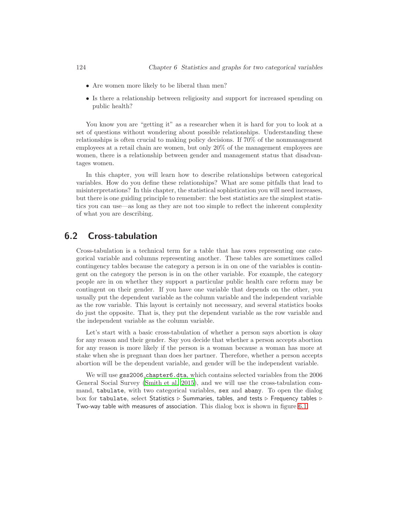- Are women more likely to be liberal than men?
- Is there a relationship between religiosity and support for increased spending on public health?

You know you are "getting it" as a researcher when it is hard for you to look at a set of questions without wondering about possible relationships. Understanding these relationships is often crucial to making policy decisions. If 70% of the nonmanagement employees at a retail chain are women, but only 20% of the management employees are women, there is a relationship between gender and management status that disadvantages women.

In this chapter, you will learn how to describe relationships between categorical variables. How do you define these relationships? What are some pitfalls that lead to misinterpretations? In this chapter, the statistical sophistication you will need increases, but there is one guiding principle to remember: the best statistics are the simplest statistics you can use—as long as they are not too simple to reflect the inherent complexity of what you are describing.

# 6.2 Cross-tabulation

Cross-tabulation is a technical term for a table that has rows representing one categorical variable and columns representing another. These tables are sometimes called contingency tables because the category a person is in on one of the variables is contingent on the category the person is in on the other variable. For example, the category people are in on whether they support a particular public health care reform may be contingent on their gender. If you have one variable that depends on the other, you usually put the dependent variable as the column variable and the independent variable as the row variable. This layout is certainly not necessary, and several statistics books do just the opposite. That is, they put the dependent variable as the row variable and the independent variable as the column variable.

Let's start with a basic cross-tabulation of whether a person says abortion is okay for any reason and their gender. Say you decide that whether a person accepts abortion for any reason is more likely if the person is a woman because a woman has more at stake when she is pregnant than does her partner. Therefore, whether a person accepts abortion will be the dependent variable, and gender will be the independent variable.

We will use gss2006\_chapter6.dta, which contains selected variables from the 2006 General Social Survey (Smith et al. 2015), and we will use the cross-tabulation command, tabulate, with two categorical variables, sex and abany. To open the dialog box for tabulate, select Statistics ⊳ Summaries, tables, and tests ⊳ Frequency tables ⊳ Two-way table with measures of association. This dialog box is shown in figure 6.1.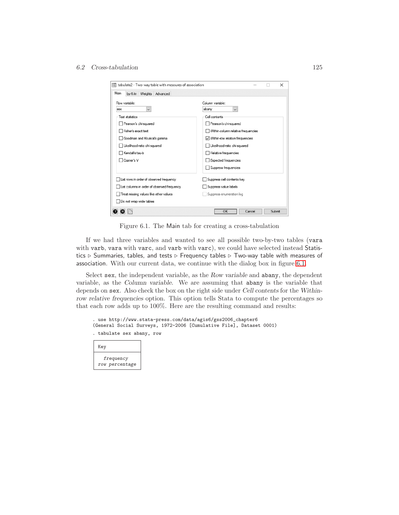#### 6.2 Cross-tabulation 125

| III tabulate2 - Two-way table with measures of association<br>$\times$ |                                                            |  |  |  |
|------------------------------------------------------------------------|------------------------------------------------------------|--|--|--|
| Main<br>Weights Advanced<br>by/ff/in                                   |                                                            |  |  |  |
| Row variable:<br>sex<br>$\checkmark$<br><b>Test statistics</b>         | Column variable:<br>abany<br>$\checkmark$<br>Cell contents |  |  |  |
| Pearson's chi-squared                                                  | Pearson's chi-squared                                      |  |  |  |
| Fisher's exact test                                                    | Within-column relative frequencies                         |  |  |  |
| Goodman and Kruskal's gamma                                            | V Within-row relative frequencies                          |  |  |  |
| Likelihood-ratio chi-squared                                           | Likelihood-ratio chi-squared                               |  |  |  |
| Kendall's tau-b                                                        | Relative frequencies                                       |  |  |  |
| Cramer's V                                                             | Expected frequencies                                       |  |  |  |
|                                                                        | Suppress frequencies                                       |  |  |  |
| List rows in order of observed frequency                               | Suppress cell contents key                                 |  |  |  |
| List columns in order of observed frequency                            | Suppress value labels                                      |  |  |  |
| Treat missing values like other values                                 | Suppress enumeration log                                   |  |  |  |
| Do not wrap wide tables                                                |                                                            |  |  |  |
|                                                                        | <b>OK</b><br>Cancel<br>Submit                              |  |  |  |

Figure 6.1. The Main tab for creating a cross-tabulation

If we had three variables and wanted to see all possible two-by-two tables (vara with varb, vara with varc, and varb with varc), we could have selected instead Statistics ⊳ Summaries, tables, and tests ⊳ Frequency tables ⊳ Two-way table with measures of association. With our current data, we continue with the dialog box in figure 6.1.

Select sex, the independent variable, as the Row variable and abany, the dependent variable, as the Column variable. We are assuming that abany is the variable that depends on sex. Also check the box on the right side under Cell contents for the Withinrow relative frequencies option. This option tells Stata to compute the percentages so that each row adds up to 100%. Here are the resulting command and results:

```
. use http://www.stata-press.com/data/agis6/gss2006_chapter6
(General Social Surveys, 1972-2006 [Cumulative File], Dataset 0001)
. tabulate sex abany, row
```

| Key            |
|----------------|
| frequency      |
| row percentage |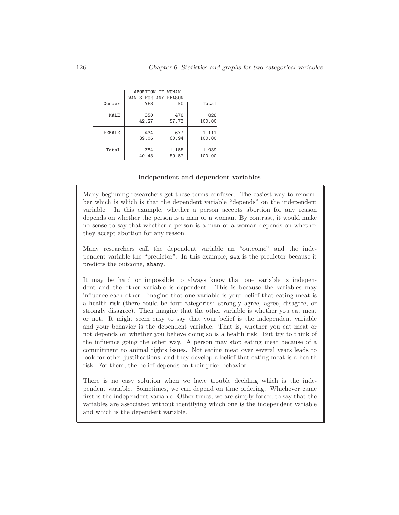| Gender        | ABORTION IF WOMAN<br>WANTS FOR ANY REASON<br><b>YES</b> | NO.   | Total  |
|---------------|---------------------------------------------------------|-------|--------|
| MALE          | 350                                                     | 478   | 828    |
|               | 42.27                                                   | 57.73 | 100.00 |
| <b>FEMALE</b> | 434                                                     | 677   | 1,111  |
|               | 39.06                                                   | 60.94 | 100.00 |
| Total         | 784                                                     | 1,155 | 1,939  |
|               | 40.43                                                   | 59.57 | 100.00 |

#### Independent and dependent variables

Many beginning researchers get these terms confused. The easiest way to remember which is which is that the dependent variable "depends" on the independent variable. In this example, whether a person accepts abortion for any reason depends on whether the person is a man or a woman. By contrast, it would make no sense to say that whether a person is a man or a woman depends on whether they accept abortion for any reason.

Many researchers call the dependent variable an "outcome" and the independent variable the "predictor". In this example, sex is the predictor because it predicts the outcome, abany.

It may be hard or impossible to always know that one variable is independent and the other variable is dependent. This is because the variables may influence each other. Imagine that one variable is your belief that eating meat is a health risk (there could be four categories: strongly agree, agree, disagree, or strongly disagree). Then imagine that the other variable is whether you eat meat or not. It might seem easy to say that your belief is the independent variable and your behavior is the dependent variable. That is, whether you eat meat or not depends on whether you believe doing so is a health risk. But try to think of the influence going the other way. A person may stop eating meat because of a commitment to animal rights issues. Not eating meat over several years leads to look for other justifications, and they develop a belief that eating meat is a health risk. For them, the belief depends on their prior behavior.

There is no easy solution when we have trouble deciding which is the independent variable. Sometimes, we can depend on time ordering. Whichever came first is the independent variable. Other times, we are simply forced to say that the variables are associated without identifying which one is the independent variable and which is the dependent variable.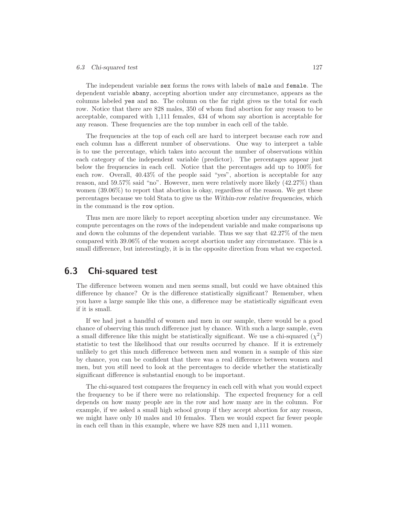#### 6.3 Chi-squared test 127

The independent variable sex forms the rows with labels of male and female. The dependent variable abany, accepting abortion under any circumstance, appears as the columns labeled yes and no. The column on the far right gives us the total for each row. Notice that there are 828 males, 350 of whom find abortion for any reason to be acceptable, compared with 1,111 females, 434 of whom say abortion is acceptable for any reason. These frequencies are the top number in each cell of the table.

The frequencies at the top of each cell are hard to interpret because each row and each column has a different number of observations. One way to interpret a table is to use the percentage, which takes into account the number of observations within each category of the independent variable (predictor). The percentages appear just below the frequencies in each cell. Notice that the percentages add up to 100% for each row. Overall, 40.43% of the people said "yes", abortion is acceptable for any reason, and 59.57% said "no". However, men were relatively more likely (42.27%) than women  $(39.06\%)$  to report that abortion is okay, regardless of the reason. We get these percentages because we told Stata to give us the Within-row relative frequencies, which in the command is the row option.

Thus men are more likely to report accepting abortion under any circumstance. We compute percentages on the rows of the independent variable and make comparisons up and down the columns of the dependent variable. Thus we say that 42.27% of the men compared with 39.06% of the women accept abortion under any circumstance. This is a small difference, but interestingly, it is in the opposite direction from what we expected.

# 6.3 Chi-squared test

The difference between women and men seems small, but could we have obtained this difference by chance? Or is the difference statistically significant? Remember, when you have a large sample like this one, a difference may be statistically significant even if it is small.

If we had just a handful of women and men in our sample, there would be a good chance of observing this much difference just by chance. With such a large sample, even a small difference like this might be statistically significant. We use a chi-squared  $(\chi^2)$ statistic to test the likelihood that our results occurred by chance. If it is extremely unlikely to get this much difference between men and women in a sample of this size by chance, you can be confident that there was a real difference between women and men, but you still need to look at the percentages to decide whether the statistically significant difference is substantial enough to be important.

The chi-squared test compares the frequency in each cell with what you would expect the frequency to be if there were no relationship. The expected frequency for a cell depends on how many people are in the row and how many are in the column. For example, if we asked a small high school group if they accept abortion for any reason, we might have only 10 males and 10 females. Then we would expect far fewer people in each cell than in this example, where we have 828 men and 1,111 women.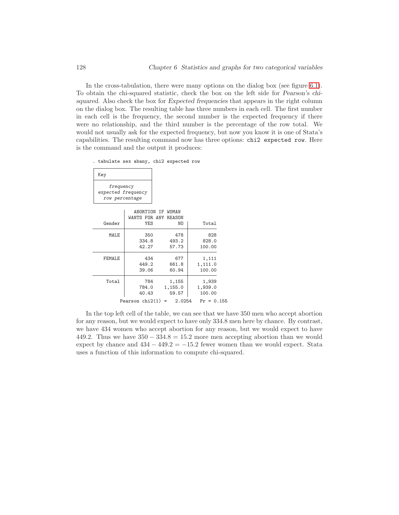In the cross-tabulation, there were many options on the dialog box (see figure 6.1). To obtain the chi-squared statistic, check the box on the left side for Pearson's chisquared. Also check the box for Expected frequencies that appears in the right column on the dialog box. The resulting table has three numbers in each cell. The first number in each cell is the frequency, the second number is the expected frequency if there were no relationship, and the third number is the percentage of the row total. We would not usually ask for the expected frequency, but now you know it is one of Stata's capabilities. The resulting command now has three options: chi2 expected row. Here is the command and the output it produces:

. tabulate sex abany, chi2 expected row

| Key           |        |                                                   |                                                                                |                                                                                            |                 |
|---------------|--------|---------------------------------------------------|--------------------------------------------------------------------------------|--------------------------------------------------------------------------------------------|-----------------|
|               |        |                                                   |                                                                                |                                                                                            |                 |
|               |        |                                                   |                                                                                |                                                                                            |                 |
|               |        |                                                   |                                                                                |                                                                                            |                 |
|               |        |                                                   |                                                                                |                                                                                            |                 |
| MALE          |        |                                                   | 478                                                                            | 828                                                                                        |                 |
|               |        |                                                   |                                                                                | 828.0                                                                                      |                 |
|               |        |                                                   | 57.73                                                                          | 100.00                                                                                     |                 |
| <b>FEMALE</b> |        |                                                   | 677                                                                            | 1,111                                                                                      |                 |
|               |        |                                                   | 661.8                                                                          | 1,111.0                                                                                    |                 |
|               |        |                                                   | 60.94                                                                          | 100.00                                                                                     |                 |
| Total         |        |                                                   | 1,155                                                                          | 1,939                                                                                      |                 |
|               |        |                                                   |                                                                                | 1,939.0                                                                                    |                 |
|               |        |                                                   | 59.57                                                                          | 100.00                                                                                     |                 |
|               |        |                                                   |                                                                                | $Pr = 0.155$                                                                               |                 |
|               | Gender | frequency<br>expected frequency<br>row percentage | YES<br>350<br>334.8<br>42.27<br>434<br>449.2<br>39.06<br>784<br>784.0<br>40.43 | ABORTION IF WOMAN<br>WANTS FOR ANY REASON<br>NΟ<br>493.2<br>1,155.0<br>Pearson $chi2(1)$ = | Total<br>2.0254 |

In the top left cell of the table, we can see that we have 350 men who accept abortion for any reason, but we would expect to have only 334.8 men here by chance. By contrast, we have 434 women who accept abortion for any reason, but we would expect to have 449.2. Thus we have  $350 - 334.8 = 15.2$  more men accepting abortion than we would expect by chance and  $434 - 449.2 = -15.2$  fewer women than we would expect. Stata uses a function of this information to compute chi-squared.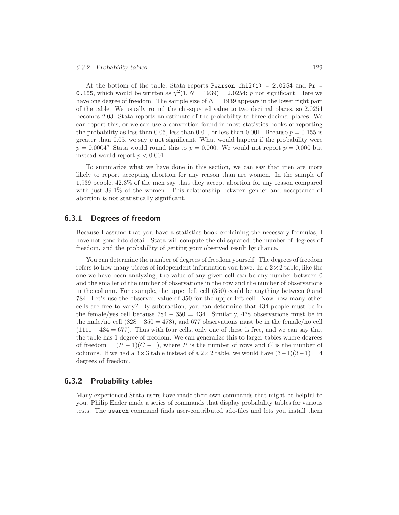At the bottom of the table, Stata reports Pearson  $\text{chi2}(1) = 2.0254$  and Pr = 0.155, which would be written as  $\chi^2(1, N = 1939) = 2.0254$ ; p not significant. Here we have one degree of freedom. The sample size of  $N = 1939$  appears in the lower right part of the table. We usually round the chi-squared value to two decimal places, so 2.0254 becomes 2.03. Stata reports an estimate of the probability to three decimal places. We can report this, or we can use a convention found in most statistics books of reporting the probability as less than 0.05, less than 0.01, or less than 0.001. Because  $p = 0.155$  is greater than  $0.05$ , we say p not significant. What would happen if the probability were  $p = 0.0004$ ? Stata would round this to  $p = 0.000$ . We would not report  $p = 0.000$  but instead would report  $p < 0.001$ .

To summarize what we have done in this section, we can say that men are more likely to report accepting abortion for any reason than are women. In the sample of 1,939 people, 42.3% of the men say that they accept abortion for any reason compared with just 39.1% of the women. This relationship between gender and acceptance of abortion is not statistically significant.

## 6.3.1 Degrees of freedom

Because I assume that you have a statistics book explaining the necessary formulas, I have not gone into detail. Stata will compute the chi-squared, the number of degrees of freedom, and the probability of getting your observed result by chance.

You can determine the number of degrees of freedom yourself. The degrees of freedom refers to how many pieces of independent information you have. In a  $2 \times 2$  table, like the one we have been analyzing, the value of any given cell can be any number between 0 and the smaller of the number of observations in the row and the number of observations in the column. For example, the upper left cell (350) could be anything between 0 and 784. Let's use the observed value of 350 for the upper left cell. Now how many other cells are free to vary? By subtraction, you can determine that 434 people must be in the female/yes cell because  $784 - 350 = 434$ . Similarly, 478 observations must be in the male/no cell (828  $-350 = 478$ ), and 677 observations must be in the female/no cell  $(1111 - 434 = 677)$ . Thus with four cells, only one of these is free, and we can say that the table has 1 degree of freedom. We can generalize this to larger tables where degrees of freedom =  $(R-1)(C-1)$ , where R is the number of rows and C is the number of columns. If we had a  $3\times3$  table instead of a  $2\times2$  table, we would have  $(3-1)(3-1) = 4$ degrees of freedom.

### 6.3.2 Probability tables

Many experienced Stata users have made their own commands that might be helpful to you. Philip Ender made a series of commands that display probability tables for various tests. The search command finds user-contributed ado-files and lets you install them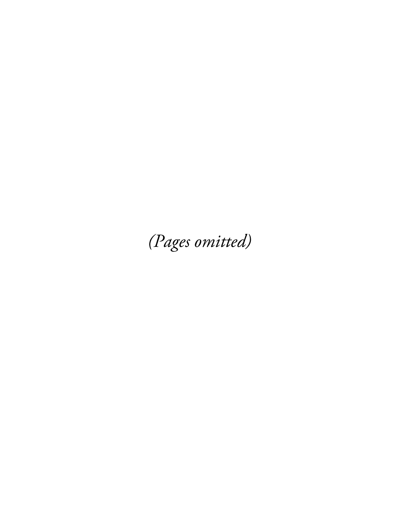(Pages omitted)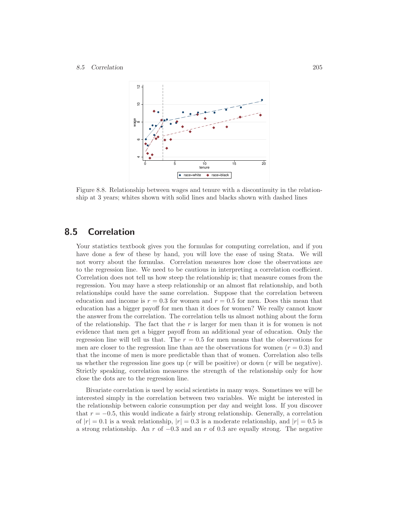#### 8.5 Correlation 205



Figure 8.8. Relationship between wages and tenure with a discontinuity in the relationship at 3 years; whites shown with solid lines and blacks shown with dashed lines

# 8.5 Correlation

Your statistics textbook gives you the formulas for computing correlation, and if you have done a few of these by hand, you will love the ease of using Stata. We will not worry about the formulas. Correlation measures how close the observations are to the regression line. We need to be cautious in interpreting a correlation coefficient. Correlation does not tell us how steep the relationship is; that measure comes from the regression. You may have a steep relationship or an almost flat relationship, and both relationships could have the same correlation. Suppose that the correlation between education and income is  $r = 0.3$  for women and  $r = 0.5$  for men. Does this mean that education has a bigger payoff for men than it does for women? We really cannot know the answer from the correlation. The correlation tells us almost nothing about the form of the relationship. The fact that the  $r$  is larger for men than it is for women is not evidence that men get a bigger payoff from an additional year of education. Only the regression line will tell us that. The  $r = 0.5$  for men means that the observations for men are closer to the regression line than are the observations for women  $(r = 0.3)$  and that the income of men is more predictable than that of women. Correlation also tells us whether the regression line goes up  $(r$  will be positive) or down  $(r$  will be negative). Strictly speaking, correlation measures the strength of the relationship only for how close the dots are to the regression line.

Bivariate correlation is used by social scientists in many ways. Sometimes we will be interested simply in the correlation between two variables. We might be interested in the relationship between calorie consumption per day and weight loss. If you discover that  $r = -0.5$ , this would indicate a fairly strong relationship. Generally, a correlation of  $|r| = 0.1$  is a weak relationship,  $|r| = 0.3$  is a moderate relationship, and  $|r| = 0.5$  is a strong relationship. An r of −0.3 and an r of 0.3 are equally strong. The negative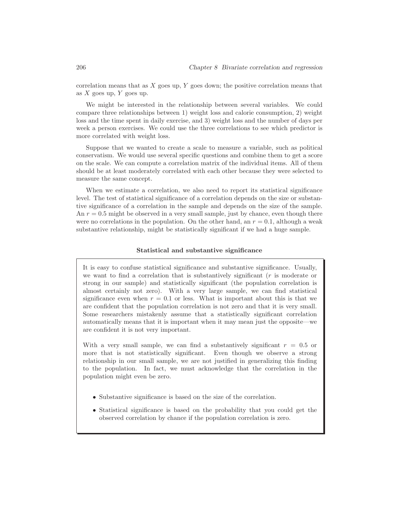correlation means that as  $X$  goes up,  $Y$  goes down; the positive correlation means that as  $X$  goes up,  $Y$  goes up.

We might be interested in the relationship between several variables. We could compare three relationships between 1) weight loss and calorie consumption, 2) weight loss and the time spent in daily exercise, and 3) weight loss and the number of days per week a person exercises. We could use the three correlations to see which predictor is more correlated with weight loss.

Suppose that we wanted to create a scale to measure a variable, such as political conservatism. We would use several specific questions and combine them to get a score on the scale. We can compute a correlation matrix of the individual items. All of them should be at least moderately correlated with each other because they were selected to measure the same concept.

When we estimate a correlation, we also need to report its statistical significance level. The test of statistical significance of a correlation depends on the size or substantive significance of a correlation in the sample and depends on the size of the sample. An  $r = 0.5$  might be observed in a very small sample, just by chance, even though there were no correlations in the population. On the other hand, an  $r = 0.1$ , although a weak substantive relationship, might be statistically significant if we had a huge sample.

#### Statistical and substantive significance

It is easy to confuse statistical significance and substantive significance. Usually, we want to find a correlation that is substantively significant (r is moderate or strong in our sample) and statistically significant (the population correlation is almost certainly not zero). With a very large sample, we can find statistical significance even when  $r = 0.1$  or less. What is important about this is that we are confident that the population correlation is not zero and that it is very small. Some researchers mistakenly assume that a statistically significant correlation automatically means that it is important when it may mean just the opposite—we are confident it is not very important.

With a very small sample, we can find a substantively significant  $r = 0.5$  or more that is not statistically significant. Even though we observe a strong relationship in our small sample, we are not justified in generalizing this finding to the population. In fact, we must acknowledge that the correlation in the population might even be zero.

- Substantive significance is based on the size of the correlation.
- Statistical significance is based on the probability that you could get the observed correlation by chance if the population correlation is zero.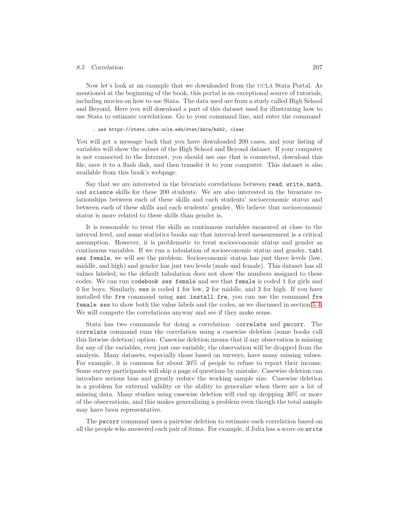#### 8.5 Correlation 207

Now let's look at an example that we downloaded from the UCLA Stata Portal. As mentioned at the beginning of the book, this portal is an exceptional source of tutorials, including movies on how to use Stata. The data used are from a study called High School and Beyond. Here you will download a part of this dataset used for illustrating how to use Stata to estimate correlations. Go to your command line, and enter the command

#### . use https://stats.idre.ucla.edu/stat/data/hsb2, clear

You will get a message back that you have downloaded 200 cases, and your listing of variables will show the subset of the High School and Beyond dataset. If your computer is not connected to the Internet, you should use one that is connected, download this file, save it to a flash disk, and then transfer it to your computer. This dataset is also available from this book's webpage.

Say that we are interested in the bivariate correlations between read, write, math, and science skills for these 200 students. We are also interested in the bivariate relationships between each of these skills and each students' socioeconomic status and between each of these skills and each students' gender. We believe that socioeconomic status is more related to these skills than gender is.

It is reasonable to treat the skills as continuous variables measured at close to the interval level, and some statistics books say that interval-level measurement is a critical assumption. However, it is problematic to treat socioeconomic status and gender as continuous variables. If we run a tabulation of socioeconomic status and gender, tab1 ses female, we will see the problem. Socioeconomic status has just three levels (low, middle, and high) and gender has just two levels (male and female). This dataset has all values labeled, so the default tabulation does not show the numbers assigned to these codes. We can run codebook ses female and see that female is coded 1 for girls and 0 for boys. Similarly, ses is coded 1 for low, 2 for middle, and 3 for high. If you have installed the fre command using ssc install fre, you can use the command fre female ses to show both the value labels and the codes, as we discussed in section 5.4. We will compute the correlations anyway and see if they make sense.

Stata has two commands for doing a correlation: correlate and pwcorr. The correlate command runs the correlation using a casewise deletion (some books call this listwise deletion) option. Casewise deletion means that if any observation is missing for any of the variables, even just one variable, the observation will be dropped from the analysis. Many datasets, especially those based on surveys, have many missing values. For example, it is common for about 30% of people to refuse to report their income. Some survey participants will skip a page of questions by mistake. Casewise deletion can introduce serious bias and greatly reduce the working sample size. Casewise deletion is a problem for external validity or the ability to generalize when there are a lot of missing data. Many studies using casewise deletion will end up dropping 30% or more of the observations, and this makes generalizing a problem even though the total sample may have been representative.

The pwcorr command uses a pairwise deletion to estimate each correlation based on all the people who answered each pair of items. For example, if Julia has a score on write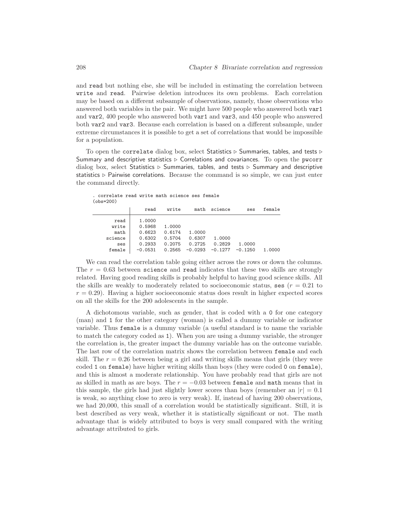and read but nothing else, she will be included in estimating the correlation between write and read. Pairwise deletion introduces its own problems. Each correlation may be based on a different subsample of observations, namely, those observations who answered both variables in the pair. We might have 500 people who answered both var1 and var2, 400 people who answered both var1 and var3, and 450 people who answered both var2 and var3. Because each correlation is based on a different subsample, under extreme circumstances it is possible to get a set of correlations that would be impossible for a population.

To open the correlate dialog box, select Statistics ⊳ Summaries, tables, and tests ⊳ Summary and descriptive statistics  $\triangleright$  Correlations and covariances. To open the pwcorr dialog box, select Statistics ⊲ Summaries, tables, and tests ⊲ Summary and descriptive statistics  $\triangleright$  Pairwise correlations. Because the command is so simple, we can just enter the command directly.

. correlate read write math science ses female (obs=200)

|         | read      | write  | math      | science   | ses       | female |
|---------|-----------|--------|-----------|-----------|-----------|--------|
| read    | 1,0000    |        |           |           |           |        |
| write   | 0.5968    | 1,0000 |           |           |           |        |
| math    | 0.6623    | 0.6174 | 1,0000    |           |           |        |
| science | 0.6302    | 0.5704 | 0.6307    | 1,0000    |           |        |
| ses     | 0.2933    | 0.2075 | 0.2725    | 0.2829    | 1,0000    |        |
| female  | $-0.0531$ | 0.2565 | $-0.0293$ | $-0.1277$ | $-0.1250$ | 1.0000 |

We can read the correlation table going either across the rows or down the columns. The  $r = 0.63$  between science and read indicates that these two skills are strongly related. Having good reading skills is probably helpful to having good science skills. All the skills are weakly to moderately related to socioeconomic status, ses ( $r = 0.21$  to  $r = 0.29$ . Having a higher socioeconomic status does result in higher expected scores on all the skills for the 200 adolescents in the sample.

A dichotomous variable, such as gender, that is coded with a 0 for one category (man) and 1 for the other category (woman) is called a dummy variable or indicator variable. Thus female is a dummy variable (a useful standard is to name the variable to match the category coded as 1). When you are using a dummy variable, the stronger the correlation is, the greater impact the dummy variable has on the outcome variable. The last row of the correlation matrix shows the correlation between female and each skill. The  $r = 0.26$  between being a girl and writing skills means that girls (they were coded 1 on female) have higher writing skills than boys (they were coded 0 on female), and this is almost a moderate relationship. You have probably read that girls are not as skilled in math as are boys. The  $r = -0.03$  between female and math means that in this sample, the girls had just slightly lower scores than boys (remember an  $|r| = 0.1$ ) is weak, so anything close to zero is very weak). If, instead of having 200 observations, we had 20,000, this small of a correlation would be statistically significant. Still, it is best described as very weak, whether it is statistically significant or not. The math advantage that is widely attributed to boys is very small compared with the writing advantage attributed to girls.